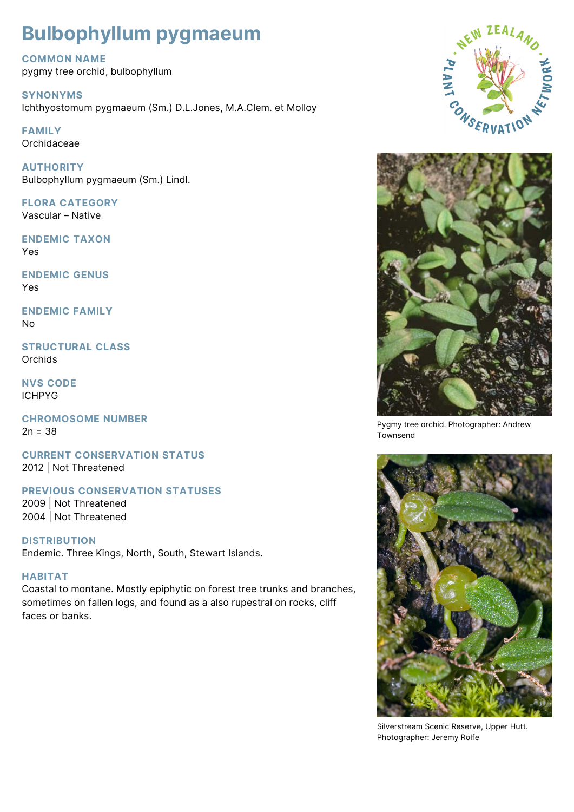# **Bulbophyllum pygmaeum**

**COMMON NAME**

pygmy tree orchid, bulbophyllum

**SYNONYMS** Ichthyostomum pygmaeum (Sm.) D.L.Jones, M.A.Clem. et Molloy

**FAMILY** Orchidaceae

**AUTHORITY** Bulbophyllum pygmaeum (Sm.) Lindl.

**FLORA CATEGORY** Vascular – Native

**ENDEMIC TAXON** Yes

**ENDEMIC GENUS** Yes

**ENDEMIC FAMILY** No

**STRUCTURAL CLASS Orchids** 

**NVS CODE** ICHPYG

**CHROMOSOME NUMBER**  $2n = 38$ 

**CURRENT CONSERVATION STATUS** 2012 | Not Threatened

**PREVIOUS CONSERVATION STATUSES**

2009 | Not Threatened 2004 | Not Threatened

**DISTRIBUTION**

Endemic. Three Kings, North, South, Stewart Islands.

## **HABITAT**

Coastal to montane. Mostly epiphytic on forest tree trunks and branches, sometimes on fallen logs, and found as a also rupestral on rocks, cliff faces or banks.





Pygmy tree orchid. Photographer: Andrew Townsend



Silverstream Scenic Reserve, Upper Hutt. Photographer: Jeremy Rolfe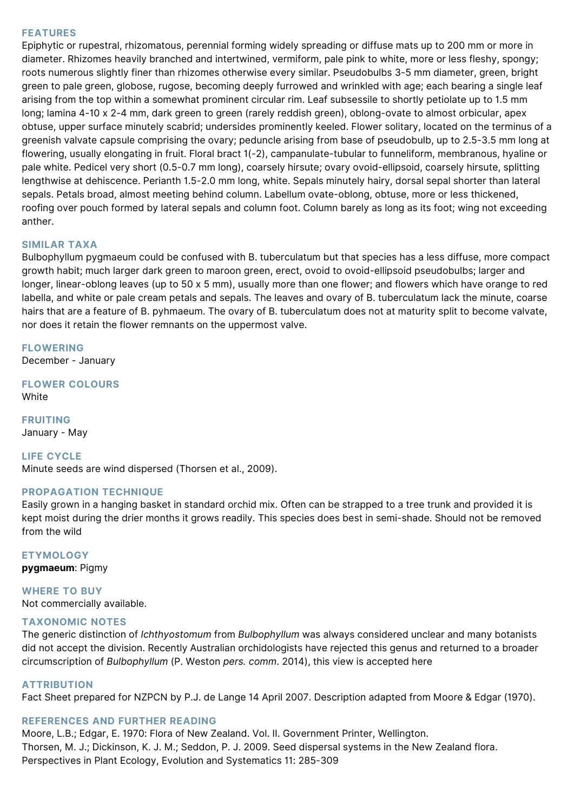#### **FEATURES**

Epiphytic or rupestral, rhizomatous, perennial forming widely spreading or diffuse mats up to 200 mm or more in diameter. Rhizomes heavily branched and intertwined, vermiform, pale pink to white, more or less fleshy, spongy; roots numerous slightly finer than rhizomes otherwise every similar. Pseudobulbs 3-5 mm diameter, green, bright green to pale green, globose, rugose, becoming deeply furrowed and wrinkled with age; each bearing a single leaf arising from the top within a somewhat prominent circular rim. Leaf subsessile to shortly petiolate up to 1.5 mm long; lamina 4-10 x 2-4 mm, dark green to green (rarely reddish green), oblong-ovate to almost orbicular, apex obtuse, upper surface minutely scabrid; undersides prominently keeled. Flower solitary, located on the terminus of a greenish valvate capsule comprising the ovary; peduncle arising from base of pseudobulb, up to 2.5-3.5 mm long at flowering, usually elongating in fruit. Floral bract 1(-2), campanulate-tubular to funneliform, membranous, hyaline or pale white. Pedicel very short (0.5-0.7 mm long), coarsely hirsute; ovary ovoid-ellipsoid, coarsely hirsute, splitting lengthwise at dehiscence. Perianth 1.5-2.0 mm long, white. Sepals minutely hairy, dorsal sepal shorter than lateral sepals. Petals broad, almost meeting behind column. Labellum ovate-oblong, obtuse, more or less thickened, roofing over pouch formed by lateral sepals and column foot. Column barely as long as its foot; wing not exceeding anther.

### **SIMILAR TAXA**

Bulbophyllum pygmaeum could be confused with B. tuberculatum but that species has a less diffuse, more compact growth habit; much larger dark green to maroon green, erect, ovoid to ovoid-ellipsoid pseudobulbs; larger and longer, linear-oblong leaves (up to 50 x 5 mm), usually more than one flower; and flowers which have orange to red labella, and white or pale cream petals and sepals. The leaves and ovary of B. tuberculatum lack the minute, coarse hairs that are a feature of B. pyhmaeum. The ovary of B. tuberculatum does not at maturity split to become valvate, nor does it retain the flower remnants on the uppermost valve.

## **FLOWERING**

December - January

**FLOWER COLOURS** White

**FRUITING** January - May

**LIFE CYCLE**

Minute seeds are wind dispersed (Thorsen et al., 2009).

#### **PROPAGATION TECHNIQUE**

Easily grown in a hanging basket in standard orchid mix. Often can be strapped to a tree trunk and provided it is kept moist during the drier months it grows readily. This species does best in semi-shade. Should not be removed from the wild

**ETYMOLOGY pygmaeum**: Pigmy

**WHERE TO BUY** Not commercially available.

#### **TAXONOMIC NOTES**

The generic distinction of *Ichthyostomum* from *Bulbophyllum* was always considered unclear and many botanists did not accept the division. Recently Australian orchidologists have rejected this genus and returned to a broader circumscription of *Bulbophyllum* (P. Weston *pers. comm*. 2014), this view is accepted here

## **ATTRIBUTION**

Fact Sheet prepared for NZPCN by P.J. de Lange 14 April 2007. Description adapted from Moore & Edgar (1970).

#### **REFERENCES AND FURTHER READING**

Moore, L.B.; Edgar, E. 1970: Flora of New Zealand. Vol. II. Government Printer, Wellington. Thorsen, M. J.; Dickinson, K. J. M.; Seddon, P. J. 2009. Seed dispersal systems in the New Zealand flora. Perspectives in Plant Ecology, Evolution and Systematics 11: 285-309